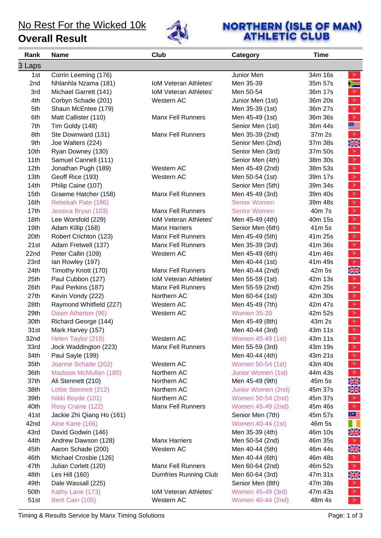#### **Overall Result**



# **NORTHERN (ISLE OF MAN)**<br>ATHLETIC CLUB

| Rank             | <b>Name</b>               | Club                         | Category            | <b>Time</b> |                                                                                                                                                                                                                                                                                                                                                                             |
|------------------|---------------------------|------------------------------|---------------------|-------------|-----------------------------------------------------------------------------------------------------------------------------------------------------------------------------------------------------------------------------------------------------------------------------------------------------------------------------------------------------------------------------|
| 3 Laps           |                           |                              |                     |             |                                                                                                                                                                                                                                                                                                                                                                             |
| 1st              | Corrin Leeming (176)      |                              | Junior Men          | 34m 16s     | $\mathcal{F}$                                                                                                                                                                                                                                                                                                                                                               |
| 2nd              | Nhlanhla Nzama (181)      | <b>IoM Veteran Athletes'</b> | Men 35-39           | 35m 57s     | $\searrow$                                                                                                                                                                                                                                                                                                                                                                  |
| 3rd              | Michael Garrett (141)     | <b>IoM Veteran Athletes'</b> | Men 50-54           | 36m 17s     | $\mathbf{v}$                                                                                                                                                                                                                                                                                                                                                                |
| 4th              | Corbyn Schade (201)       | Western AC                   | Junior Men (1st)    | 36m 20s     | $\mathcal{F}$                                                                                                                                                                                                                                                                                                                                                               |
| 5th              | Shaun McEntee (179)       |                              | Men 35-39 (1st)     | 36m 27s     | $\mathcal{F}$                                                                                                                                                                                                                                                                                                                                                               |
| 6th              | Matt Callister (110)      | <b>Manx Fell Runners</b>     | Men 45-49 (1st)     | 36m 36s     | $\mathbf{v}$                                                                                                                                                                                                                                                                                                                                                                |
| 7th              | Tim Goldy (148)           |                              | Senior Men (1st)    | 36m 44s     | <u> Si</u>                                                                                                                                                                                                                                                                                                                                                                  |
| 8th              | Ste Downward (131)        | <b>Manx Fell Runners</b>     | Men 35-39 (2nd)     | 37m 2s      | $\mathbb{R}$                                                                                                                                                                                                                                                                                                                                                                |
| 9th              | Joe Walters (224)         |                              | Senior Men (2nd)    | 37m 38s     | NK<br>ZR                                                                                                                                                                                                                                                                                                                                                                    |
| 10th             | Ryan Downey (130)         |                              | Senior Men (3rd)    | 37m 50s     | $\mathbf{v}$                                                                                                                                                                                                                                                                                                                                                                |
| 11th             | Samuel Cannell (111)      |                              | Senior Men (4th)    | 38m 30s     | $\mathbf{v}$                                                                                                                                                                                                                                                                                                                                                                |
| 12 <sub>th</sub> | Jonathan Pugh (189)       | Western AC                   | Men 45-49 (2nd)     | 38m 53s     | $\mathbf{v}$                                                                                                                                                                                                                                                                                                                                                                |
| 13 <sub>th</sub> | Geoff Rice (193)          | Western AC                   | Men 50-54 (1st)     | 39m 17s     | $\mathbb{R}$                                                                                                                                                                                                                                                                                                                                                                |
| 14th             | Philip Caine (107)        |                              | Senior Men (5th)    | 39m 34s     | $\mathbf{v}$                                                                                                                                                                                                                                                                                                                                                                |
| 15 <sub>th</sub> | Graeme Hatcher (158)      | <b>Manx Fell Runners</b>     | Men 45-49 (3rd)     | 39m 40s     | $\mathbf{v}$                                                                                                                                                                                                                                                                                                                                                                |
| 16th             | Rebekah Pate (186)        |                              | <b>Senior Women</b> | 39m 48s     | $\mathbf{\hat{z}}$                                                                                                                                                                                                                                                                                                                                                          |
| 17th             | Jessica Bryan (103)       | <b>Manx Fell Runners</b>     | <b>Senior Women</b> | 40m 7s      | $\mathbb{R}$                                                                                                                                                                                                                                                                                                                                                                |
| 18th             | Lee Worsfold (229)        | <b>IoM Veteran Athletes'</b> | Men 45-49 (4th)     | 40m 15s     | $\mathbf{\tilde{z}}$                                                                                                                                                                                                                                                                                                                                                        |
| 19th             | Adam Killip (168)         | <b>Manx Harriers</b>         | Senior Men (6th)    | 41m 5s      | $\mathbf{v}$                                                                                                                                                                                                                                                                                                                                                                |
| 20th             | Robert Crichton (123)     | <b>Manx Fell Runners</b>     | Men 45-49 (5th)     | 41m 25s     | $\mathbf{v}$                                                                                                                                                                                                                                                                                                                                                                |
| 21st             | Adam Fretwell (137)       | <b>Manx Fell Runners</b>     | Men 35-39 (3rd)     | 41m 36s     | $\mathbb{R}$                                                                                                                                                                                                                                                                                                                                                                |
| 22nd             | Peter Callin (109)        | Western AC                   | Men 45-49 (6th)     | 41m 46s     | $\mathbf{v}$                                                                                                                                                                                                                                                                                                                                                                |
| 23rd             | Ian Rowley (197)          |                              | Men 40-44 (1st)     | 41m 49s     | $\mathbf{v}$                                                                                                                                                                                                                                                                                                                                                                |
| 24th             | Timothy Knott (170)       | <b>Manx Fell Runners</b>     | Men 40-44 (2nd)     | 42m 5s      | XK                                                                                                                                                                                                                                                                                                                                                                          |
| 25th             | Paul Cubbon (127)         | <b>IoM Veteran Athletes'</b> | Men 55-59 (1st)     | 42m 13s     | $\mathbf{v}$                                                                                                                                                                                                                                                                                                                                                                |
| 26th             | Paul Perkins (187)        | <b>Manx Fell Runners</b>     | Men 55-59 (2nd)     | 42m 25s     | $\mathbb{R}$                                                                                                                                                                                                                                                                                                                                                                |
| 27th             | Kevin Vondy (222)         | Northern AC                  | Men 60-64 (1st)     | 42m 30s     | $\mathbb{R}$                                                                                                                                                                                                                                                                                                                                                                |
| 28th             | Raymond Whitfield (227)   | Western AC                   | Men 45-49 (7th)     | 42m 47s     | $\mathbf{\tilde{z}}$                                                                                                                                                                                                                                                                                                                                                        |
| 29th             | Dawn Atherton (96)        | Western AC                   | <b>Women 35-39</b>  | 42m 52s     | $\mathbf{v}$                                                                                                                                                                                                                                                                                                                                                                |
| 30th             | Richard George (144)      |                              | Men 45-49 (8th)     | 43m 2s      | $\mathbf{v}$                                                                                                                                                                                                                                                                                                                                                                |
| 31st             | Mark Harvey (157)         |                              | Men 40-44 (3rd)     | 43m 11s     | $\mathbb{R}$                                                                                                                                                                                                                                                                                                                                                                |
| 32nd             | Helen Taylor (215)        | Western AC                   | Women 45-49 (1st)   | 43m 11s     | $\mathbf{v}$                                                                                                                                                                                                                                                                                                                                                                |
| 33rd             | Jock Waddington (223)     | <b>Manx Fell Runners</b>     | Men 55-59 (3rd)     | 43m 19s     | $\mathcal{F}$                                                                                                                                                                                                                                                                                                                                                               |
| 34th             | Paul Sayle (199)          |                              | Men 40-44 (4th)     | 43m 21s     | $\mathcal{F}$                                                                                                                                                                                                                                                                                                                                                               |
| 35th             | Joanne Schade (202)       | Western AC                   | Women 50-54 (1st)   | 43m 40s     | $\mathbf{v}$                                                                                                                                                                                                                                                                                                                                                                |
| 36th             | Madison McMullan (180)    | Northern AC                  | Junior Women (1st)  | 44m 43s     | $\mathcal{V}$                                                                                                                                                                                                                                                                                                                                                               |
| 37th             | Ali Stennett (210)        | Northern AC                  | Men 45-49 (9th)     | 45m 5s      | NZ<br>$\times$                                                                                                                                                                                                                                                                                                                                                              |
| 38th             | Lottie Stennett (212)     | Northern AC                  | Junior Women (2nd)  | 45m 37s     | XK                                                                                                                                                                                                                                                                                                                                                                          |
| 39th             | Nikki Boyde (101)         | Northern AC                  | Women 50-54 (2nd)   | 45m 37s     | $\mathbb{R}$                                                                                                                                                                                                                                                                                                                                                                |
| 40th             | Rosy Craine (122)         | <b>Manx Fell Runners</b>     | Women 45-49 (2nd)   | 45m 46s     | $\mathcal{R}$                                                                                                                                                                                                                                                                                                                                                               |
| 41st             | Jackie Zhi Qiang Ho (161) |                              | Senior Men (7th)    | 45m 57s     | $C \equiv$                                                                                                                                                                                                                                                                                                                                                                  |
| 42nd             | Aine Kane (166)           |                              | Women 40-44 (1st)   | 46m 5s      | ا ا                                                                                                                                                                                                                                                                                                                                                                         |
| 43rd             | David Godwin (146)        |                              | Men 35-39 (4th)     | 46m 10s     | XK                                                                                                                                                                                                                                                                                                                                                                          |
| 44th             | Andrew Dawson (128)       | <b>Manx Harriers</b>         | Men 50-54 (2nd)     | 46m 35s     | $\mathcal{X}$                                                                                                                                                                                                                                                                                                                                                               |
| 45th             | Aaron Schade (200)        | Western AC                   | Men 40-44 (5th)     | 46m 44s     | XK                                                                                                                                                                                                                                                                                                                                                                          |
| 46th             | Michael Crosbie (126)     |                              | Men 40-44 (6th)     | 46m 48s     | $\begin{picture}(120,15) \put(0,0){\vector(0,1){30}} \put(15,0){\vector(0,1){30}} \put(15,0){\vector(0,1){30}} \put(15,0){\vector(0,1){30}} \put(15,0){\vector(0,1){30}} \put(15,0){\vector(0,1){30}} \put(15,0){\vector(0,1){30}} \put(15,0){\vector(0,1){30}} \put(15,0){\vector(0,1){30}} \put(15,0){\vector(0,1){30}} \put(15,0){\vector(0,1){30}} \put(15,0){\vector($ |
| 47th             | Julian Corlett (120)      | <b>Manx Fell Runners</b>     | Men 60-64 (2nd)     | 46m 52s     | $\mathcal{F}$                                                                                                                                                                                                                                                                                                                                                               |
| 48th             | Les Hill (160)            | <b>Dumfries Running Club</b> | Men 60-64 (3rd)     | 47m 31s     | XK                                                                                                                                                                                                                                                                                                                                                                          |
| 49th             | Dale Wassall (225)        |                              | Senior Men (8th)    | 47m 38s     | $\mathcal{F}$                                                                                                                                                                                                                                                                                                                                                               |
| 50th             | Kathy Lane (173)          | <b>IoM Veteran Athletes'</b> | Women 45-49 (3rd)   | 47m 43s     | $\mathcal{F}$                                                                                                                                                                                                                                                                                                                                                               |
| 51st             | Berti Cain (105)          | Western AC                   | Women 40-44 (2nd)   | 48m 4s      | $\mathbf{v}$                                                                                                                                                                                                                                                                                                                                                                |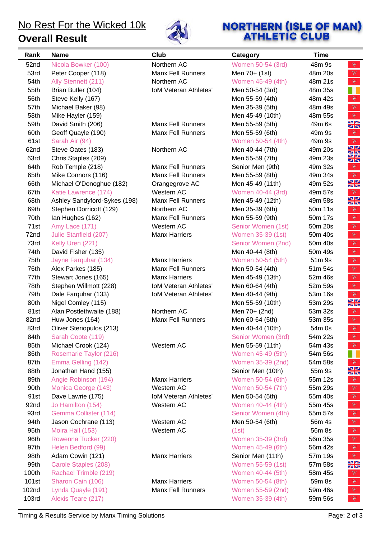**Overall Result**



# **NORTHERN (ISLE OF MAN)**<br>**ATHLETIC CLUB**

| Rank  | <b>Name</b>                  | Club                         | Category           | <b>Time</b>                                                                                                                                                                                                                                                                                                                                                                            |
|-------|------------------------------|------------------------------|--------------------|----------------------------------------------------------------------------------------------------------------------------------------------------------------------------------------------------------------------------------------------------------------------------------------------------------------------------------------------------------------------------------------|
| 52nd  | Nicola Bowker (100)          | Northern AC                  | Women 50-54 (3rd)  | 48m 9s<br>$\mathbf{v}$                                                                                                                                                                                                                                                                                                                                                                 |
| 53rd  | Peter Cooper (118)           | <b>Manx Fell Runners</b>     | Men 70+ (1st)      | $\mathcal{V}$<br>48m 20s                                                                                                                                                                                                                                                                                                                                                               |
| 54th  | Ally Stennett (211)          | Northern AC                  | Women 45-49 (4th)  | $\mathcal{V}$<br>48m 21s                                                                                                                                                                                                                                                                                                                                                               |
| 55th  | Brian Butler (104)           | <b>IoM Veteran Athletes'</b> | Men 50-54 (3rd)    | 48m 35s                                                                                                                                                                                                                                                                                                                                                                                |
| 56th  | Steve Kelly (167)            |                              | Men 55-59 (4th)    | $\mathbf{v}$<br>48m 42s                                                                                                                                                                                                                                                                                                                                                                |
| 57th  | Michael Baker (98)           |                              | Men 35-39 (5th)    | $\mathcal{F}$<br>48m 49s                                                                                                                                                                                                                                                                                                                                                               |
| 58th  | Mike Hayler (159)            |                              | Men 45-49 (10th)   | $\mathcal{X}$<br>48m 55s                                                                                                                                                                                                                                                                                                                                                               |
| 59th  | David Smith (206)            | <b>Manx Fell Runners</b>     | Men 55-59 (5th)    | NZ<br>49m 6s<br>$\overline{\mathbb{Z}}\overline{\mathbb{N}}$                                                                                                                                                                                                                                                                                                                           |
| 60th  | Geoff Quayle (190)           | <b>Manx Fell Runners</b>     | Men 55-59 (6th)    | $\mathbf{v}$<br>49m 9s                                                                                                                                                                                                                                                                                                                                                                 |
| 61st  | Sarah Air (94)               |                              | Women 50-54 (4th)  | $\mathbb{R}$<br>49m 9s                                                                                                                                                                                                                                                                                                                                                                 |
| 62nd  | Steve Oates (183)            | Northern AC                  | Men 40-44 (7th)    | XK<br>49m 20s                                                                                                                                                                                                                                                                                                                                                                          |
| 63rd  | Chris Staples (209)          |                              | Men 55-59 (7th)    | XK<br>49m 23s                                                                                                                                                                                                                                                                                                                                                                          |
| 64th  | Rob Temple (218)             | <b>Manx Fell Runners</b>     | Senior Men (9th)   | 49m 32s<br>$\mathbf{v}$                                                                                                                                                                                                                                                                                                                                                                |
| 65th  | Mike Connors (116)           | <b>Manx Fell Runners</b>     | Men 55-59 (8th)    | $\mathcal{X}$<br>49m 34s                                                                                                                                                                                                                                                                                                                                                               |
| 66th  | Michael O'Donoghue (182)     | Orangegrove AC               | Men 45-49 (11th)   | VZ<br>49m 52s<br>$\times$                                                                                                                                                                                                                                                                                                                                                              |
| 67th  | Katie Lawrence (174)         | Western AC                   | Women 40-44 (3rd)  | $\mathcal{V}$<br>49m 57s                                                                                                                                                                                                                                                                                                                                                               |
| 68th  | Ashley Sandyford-Sykes (198) | <b>Manx Fell Runners</b>     | Men 45-49 (12th)   | WZ<br>49m 58s<br>$\times$                                                                                                                                                                                                                                                                                                                                                              |
| 69th  | Stephen Dorricott (129)      | Northern AC                  | Men 35-39 (6th)    | $\mathbf{v}$<br>50m 11s                                                                                                                                                                                                                                                                                                                                                                |
| 70th  | lan Hughes (162)             | <b>Manx Fell Runners</b>     | Men 55-59 (9th)    | $\mathbf{v}$<br>50m 17s                                                                                                                                                                                                                                                                                                                                                                |
| 71st  | Amy Lace (171)               | Western AC                   | Senior Women (1st) | $\mathcal{V}$<br>50m 20s                                                                                                                                                                                                                                                                                                                                                               |
| 72nd  | Julie Stanfield (207)        | <b>Manx Harriers</b>         | Women 35-39 (1st)  | $\mathcal{F}$<br>50m 40s                                                                                                                                                                                                                                                                                                                                                               |
| 73rd  | Kelly Uren (221)             |                              | Senior Women (2nd) | $\mathcal{V}$<br>50m 40s                                                                                                                                                                                                                                                                                                                                                               |
| 74th  | David Fisher (135)           |                              | Men 40-44 (8th)    | $\mathcal{V}$<br>50m 49s                                                                                                                                                                                                                                                                                                                                                               |
| 75th  | Jayne Farquhar (134)         | <b>Manx Harriers</b>         | Women 50-54 (5th)  | $\mathcal{F}$<br>51m 9s                                                                                                                                                                                                                                                                                                                                                                |
| 76th  | Alex Parkes (185)            | <b>Manx Fell Runners</b>     | Men 50-54 (4th)    | $\mathcal{F}$<br>51m 54s                                                                                                                                                                                                                                                                                                                                                               |
| 77th  | Stewart Jones (165)          | <b>Manx Harriers</b>         | Men 45-49 (13th)   | $\mathbb{R}^r$<br>52m 46s                                                                                                                                                                                                                                                                                                                                                              |
| 78th  | Stephen Willmott (228)       | <b>IoM Veteran Athletes'</b> | Men 60-64 (4th)    | $\mathbf{v}$<br>52m 59s                                                                                                                                                                                                                                                                                                                                                                |
| 79th  | Dale Farquhar (133)          | <b>IoM Veteran Athletes'</b> | Men 40-44 (9th)    | $\mathcal{V}$<br>53m 16s                                                                                                                                                                                                                                                                                                                                                               |
| 80th  | Nigel Comley (115)           |                              | Men 55-59 (10th)   | XK<br>53m 29s                                                                                                                                                                                                                                                                                                                                                                          |
| 81st  | Alan Postlethwaite (188)     | Northern AC                  | Men 70+ (2nd)      | $\mathbf{v}$<br>53m 32s                                                                                                                                                                                                                                                                                                                                                                |
| 82nd  | Huw Jones (164)              | <b>Manx Fell Runners</b>     | Men 60-64 (5th)    | $\mathcal{F}$<br>53m 35s                                                                                                                                                                                                                                                                                                                                                               |
| 83rd  | Oliver Steriopulos (213)     |                              | Men 40-44 (10th)   | $\mathbb{R}^n$<br>54m 0s                                                                                                                                                                                                                                                                                                                                                               |
| 84th  | Sarah Coote (119)            |                              | Senior Women (3rd) | $\mathbf{v}$<br>54m 22s                                                                                                                                                                                                                                                                                                                                                                |
| 85th  | Michael Crook (124)          | Western AC                   | Men 55-59 (11th)   | $\mathcal{V}$<br>54m 43s                                                                                                                                                                                                                                                                                                                                                               |
| 86th  | Rosemarie Taylor (216)       |                              | Women 45-49 (5th)  | Ш<br>54m 56s                                                                                                                                                                                                                                                                                                                                                                           |
| 87th  | Emma Gelling (142)           |                              | Women 35-39 (2nd)  | $\mathcal{V}$<br>54m 58s                                                                                                                                                                                                                                                                                                                                                               |
| 88th  | Jonathan Hand (155)          |                              | Senior Men (10th)  | XK<br>55m 9s                                                                                                                                                                                                                                                                                                                                                                           |
| 89th  | Angie Robinson (194)         | <b>Manx Harriers</b>         | Women 50-54 (6th)  | 55m 12s<br>$\mathbf{v}$                                                                                                                                                                                                                                                                                                                                                                |
| 90th  | Monica George (143)          | Western AC                   | Women 50-54 (7th)  | $\mathbb{R}^r$<br>55m 29s                                                                                                                                                                                                                                                                                                                                                              |
| 91st  | Dave Lawrie (175)            | <b>IoM Veteran Athletes'</b> | Men 50-54 (5th)    | $\mathbb{R}^r$<br>55m 40s                                                                                                                                                                                                                                                                                                                                                              |
| 92nd  | Jo Hamilton (154)            | Western AC                   | Women 40-44 (4th)  | $\mathbb{R}^r$<br>55m 45s                                                                                                                                                                                                                                                                                                                                                              |
| 93rd  | Gemma Collister (114)        |                              | Senior Women (4th) | $\mathbb{R}$<br>55m 57s                                                                                                                                                                                                                                                                                                                                                                |
| 94th  | Jason Cochrane (113)         | Western AC                   | Men 50-54 (6th)    | $\mathcal{V}$<br>56m 4s                                                                                                                                                                                                                                                                                                                                                                |
| 95th  | Moira Hall (153)             | Western AC                   | (1st)              | $\mathbb{R}^r$<br>56m 8s                                                                                                                                                                                                                                                                                                                                                               |
| 96th  | Rowenna Tucker (220)         |                              | Women 35-39 (3rd)  | $\mathbf{X}$<br>56m 35s                                                                                                                                                                                                                                                                                                                                                                |
| 97th  | Helen Bedford (99)           |                              | Women 45-49 (6th)  | $\mathbf{v}$<br>56m 42s                                                                                                                                                                                                                                                                                                                                                                |
| 98th  | Adam Cowin (121)             | <b>Manx Harriers</b>         | Senior Men (11th)  | $\mathcal{Y}$<br>57m 19s                                                                                                                                                                                                                                                                                                                                                               |
| 99th  | Carole Staples (208)         |                              | Women 55-59 (1st)  | NK<br>57m 58s<br>$\overline{\mathbb{Z}}\mathbb{N}$                                                                                                                                                                                                                                                                                                                                     |
| 100th | Rachael Trimble (219)        |                              | Women 40-44 (5th)  | $\begin{picture}(220,20) \put(0,0){\vector(0,1){30}} \put(15,0){\vector(0,1){30}} \put(15,0){\vector(0,1){30}} \put(15,0){\vector(0,1){30}} \put(15,0){\vector(0,1){30}} \put(15,0){\vector(0,1){30}} \put(15,0){\vector(0,1){30}} \put(15,0){\vector(0,1){30}} \put(15,0){\vector(0,1){30}} \put(15,0){\vector(0,1){30}} \put(15,0){\vector(0,1){30}} \put(15,0){\vector($<br>58m 45s |
| 101st | Sharon Cain (106)            | <b>Manx Harriers</b>         | Women 50-54 (8th)  | $\begin{picture}(220,20) \put(0,0){\vector(0,1){30}} \put(15,0){\vector(0,1){30}} \put(15,0){\vector(0,1){30}} \put(15,0){\vector(0,1){30}} \put(15,0){\vector(0,1){30}} \put(15,0){\vector(0,1){30}} \put(15,0){\vector(0,1){30}} \put(15,0){\vector(0,1){30}} \put(15,0){\vector(0,1){30}} \put(15,0){\vector(0,1){30}} \put(15,0){\vector(0,1){30}} \put(15,0){\vector($<br>59m 8s  |
| 102nd | Lynda Quayle (191)           | <b>Manx Fell Runners</b>     | Women 55-59 (2nd)  | $\begin{picture}(220,20) \put(0,0){\vector(0,1){30}} \put(15,0){\vector(0,1){30}} \put(15,0){\vector(0,1){30}} \put(15,0){\vector(0,1){30}} \put(15,0){\vector(0,1){30}} \put(15,0){\vector(0,1){30}} \put(15,0){\vector(0,1){30}} \put(15,0){\vector(0,1){30}} \put(15,0){\vector(0,1){30}} \put(15,0){\vector(0,1){30}} \put(15,0){\vector(0,1){30}} \put(15,0){\vector($<br>59m 46s |
| 103rd | Alexis Teare (217)           |                              | Women 35-39 (4th)  | $\mathbb{R}$<br>59m 56s                                                                                                                                                                                                                                                                                                                                                                |